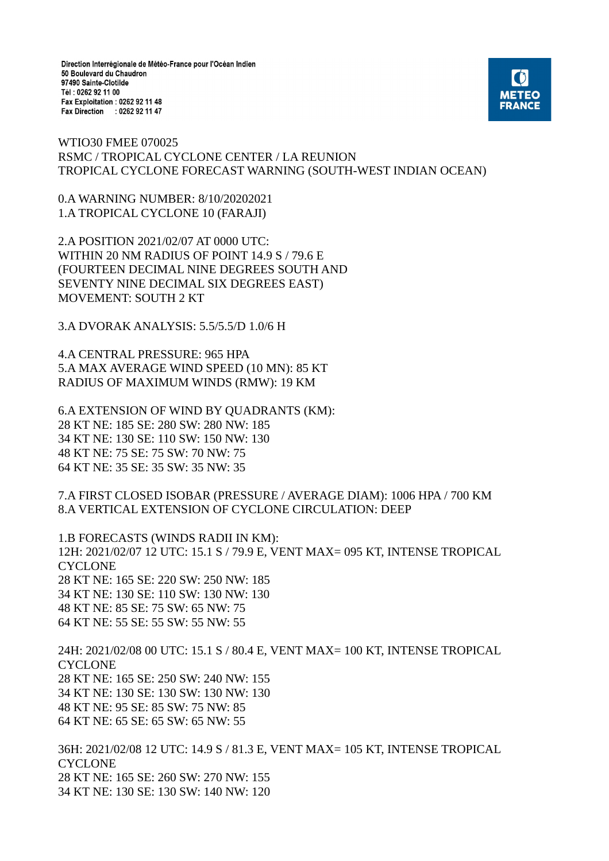Direction Interrégionale de Météo-France pour l'Océan Indien 50 Boulevard du Chaudron 97490 Sainte-Clotilde Tél: 0262 92 11 00 Fax Exploitation : 0262 92 11 48 Fax Direction : 0262 92 11 47



WTIO30 FMEE 070025 RSMC / TROPICAL CYCLONE CENTER / LA REUNION TROPICAL CYCLONE FORECAST WARNING (SOUTH-WEST INDIAN OCEAN)

0.A WARNING NUMBER: 8/10/20202021 1.A TROPICAL CYCLONE 10 (FARAJI)

2.A POSITION 2021/02/07 AT 0000 UTC: WITHIN 20 NM RADIUS OF POINT 14.9 S / 79.6 E (FOURTEEN DECIMAL NINE DEGREES SOUTH AND SEVENTY NINE DECIMAL SIX DEGREES EAST) MOVEMENT: SOUTH 2 KT

3.A DVORAK ANALYSIS: 5.5/5.5/D 1.0/6 H

4.A CENTRAL PRESSURE: 965 HPA 5.A MAX AVERAGE WIND SPEED (10 MN): 85 KT RADIUS OF MAXIMUM WINDS (RMW): 19 KM

6.A EXTENSION OF WIND BY QUADRANTS (KM): 28 KT NE: 185 SE: 280 SW: 280 NW: 185 34 KT NE: 130 SE: 110 SW: 150 NW: 130 48 KT NE: 75 SE: 75 SW: 70 NW: 75 64 KT NE: 35 SE: 35 SW: 35 NW: 35

7.A FIRST CLOSED ISOBAR (PRESSURE / AVERAGE DIAM): 1006 HPA / 700 KM 8.A VERTICAL EXTENSION OF CYCLONE CIRCULATION: DEEP

1.B FORECASTS (WINDS RADII IN KM): 12H: 2021/02/07 12 UTC: 15.1 S / 79.9 E, VENT MAX= 095 KT, INTENSE TROPICAL CYCLONE 28 KT NE: 165 SE: 220 SW: 250 NW: 185 34 KT NE: 130 SE: 110 SW: 130 NW: 130 48 KT NE: 85 SE: 75 SW: 65 NW: 75 64 KT NE: 55 SE: 55 SW: 55 NW: 55

24H: 2021/02/08 00 UTC: 15.1 S / 80.4 E, VENT MAX= 100 KT, INTENSE TROPICAL **CYCLONE** 28 KT NE: 165 SE: 250 SW: 240 NW: 155 34 KT NE: 130 SE: 130 SW: 130 NW: 130 48 KT NE: 95 SE: 85 SW: 75 NW: 85 64 KT NE: 65 SE: 65 SW: 65 NW: 55

36H: 2021/02/08 12 UTC: 14.9 S / 81.3 E, VENT MAX= 105 KT, INTENSE TROPICAL **CYCLONE** 28 KT NE: 165 SE: 260 SW: 270 NW: 155 34 KT NE: 130 SE: 130 SW: 140 NW: 120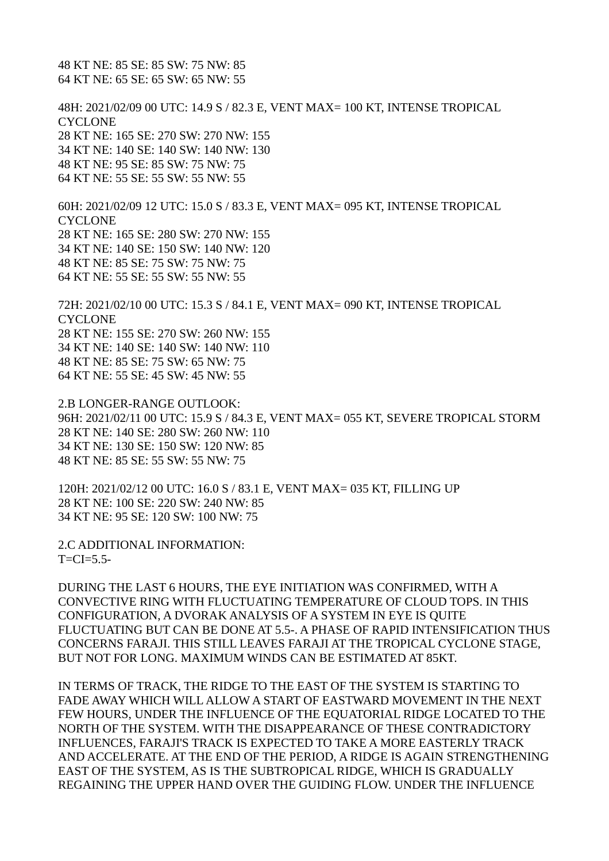48 KT NE: 85 SE: 85 SW: 75 NW: 85 64 KT NE: 65 SE: 65 SW: 65 NW: 55

48H: 2021/02/09 00 UTC: 14.9 S / 82.3 E, VENT MAX= 100 KT, INTENSE TROPICAL **CYCLONE** 28 KT NE: 165 SE: 270 SW: 270 NW: 155 34 KT NE: 140 SE: 140 SW: 140 NW: 130 48 KT NE: 95 SE: 85 SW: 75 NW: 75 64 KT NE: 55 SE: 55 SW: 55 NW: 55

60H: 2021/02/09 12 UTC: 15.0 S / 83.3 E, VENT MAX= 095 KT, INTENSE TROPICAL **CYCLONE** 28 KT NE: 165 SE: 280 SW: 270 NW: 155 34 KT NE: 140 SE: 150 SW: 140 NW: 120 48 KT NE: 85 SE: 75 SW: 75 NW: 75 64 KT NE: 55 SE: 55 SW: 55 NW: 55

72H: 2021/02/10 00 UTC: 15.3 S / 84.1 E, VENT MAX= 090 KT, INTENSE TROPICAL **CYCLONE** 28 KT NE: 155 SE: 270 SW: 260 NW: 155 34 KT NE: 140 SE: 140 SW: 140 NW: 110 48 KT NE: 85 SE: 75 SW: 65 NW: 75 64 KT NE: 55 SE: 45 SW: 45 NW: 55

2.B LONGER-RANGE OUTLOOK: 96H: 2021/02/11 00 UTC: 15.9 S / 84.3 E, VENT MAX= 055 KT, SEVERE TROPICAL STORM 28 KT NE: 140 SE: 280 SW: 260 NW: 110 34 KT NE: 130 SE: 150 SW: 120 NW: 85 48 KT NE: 85 SE: 55 SW: 55 NW: 75

120H: 2021/02/12 00 UTC: 16.0 S / 83.1 E, VENT MAX= 035 KT, FILLING UP 28 KT NE: 100 SE: 220 SW: 240 NW: 85 34 KT NE: 95 SE: 120 SW: 100 NW: 75

2.C ADDITIONAL INFORMATION:  $T=CI=5.5-$ 

DURING THE LAST 6 HOURS, THE EYE INITIATION WAS CONFIRMED, WITH A CONVECTIVE RING WITH FLUCTUATING TEMPERATURE OF CLOUD TOPS. IN THIS CONFIGURATION, A DVORAK ANALYSIS OF A SYSTEM IN EYE IS QUITE FLUCTUATING BUT CAN BE DONE AT 5.5-. A PHASE OF RAPID INTENSIFICATION THUS CONCERNS FARAJI. THIS STILL LEAVES FARAJI AT THE TROPICAL CYCLONE STAGE, BUT NOT FOR LONG. MAXIMUM WINDS CAN BE ESTIMATED AT 85KT.

IN TERMS OF TRACK, THE RIDGE TO THE EAST OF THE SYSTEM IS STARTING TO FADE AWAY WHICH WILL ALLOW A START OF EASTWARD MOVEMENT IN THE NEXT FEW HOURS, UNDER THE INFLUENCE OF THE EQUATORIAL RIDGE LOCATED TO THE NORTH OF THE SYSTEM. WITH THE DISAPPEARANCE OF THESE CONTRADICTORY INFLUENCES, FARAJI'S TRACK IS EXPECTED TO TAKE A MORE EASTERLY TRACK AND ACCELERATE. AT THE END OF THE PERIOD, A RIDGE IS AGAIN STRENGTHENING EAST OF THE SYSTEM, AS IS THE SUBTROPICAL RIDGE, WHICH IS GRADUALLY REGAINING THE UPPER HAND OVER THE GUIDING FLOW. UNDER THE INFLUENCE